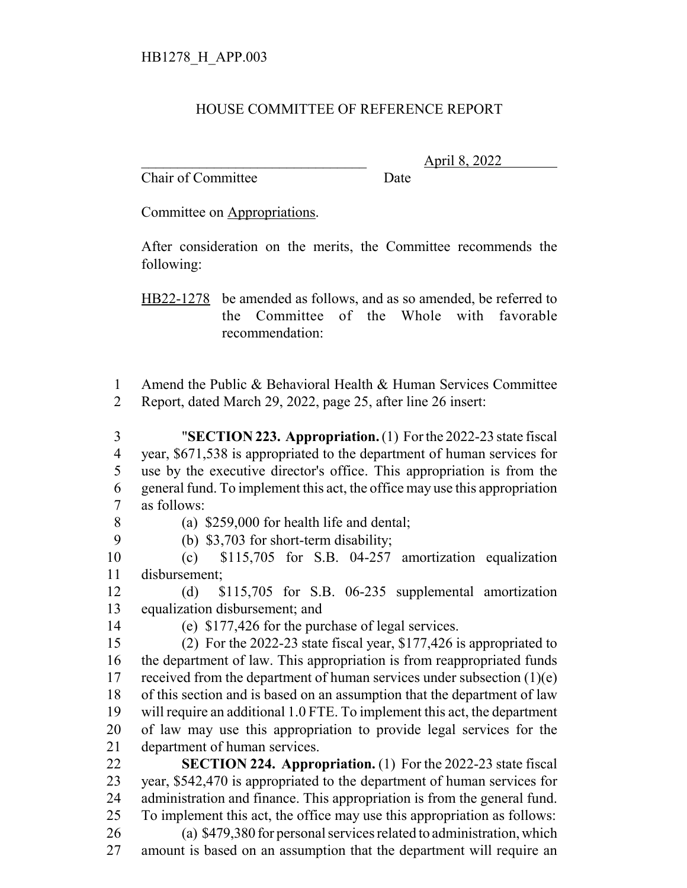## HOUSE COMMITTEE OF REFERENCE REPORT

Chair of Committee Date

\_\_\_\_\_\_\_\_\_\_\_\_\_\_\_\_\_\_\_\_\_\_\_\_\_\_\_\_\_\_\_ April 8, 2022

Committee on Appropriations.

After consideration on the merits, the Committee recommends the following:

HB22-1278 be amended as follows, and as so amended, be referred to the Committee of the Whole with favorable recommendation:

 Amend the Public & Behavioral Health & Human Services Committee Report, dated March 29, 2022, page 25, after line 26 insert:

 "**SECTION 223. Appropriation.** (1) For the 2022-23 state fiscal year, \$671,538 is appropriated to the department of human services for use by the executive director's office. This appropriation is from the general fund. To implement this act, the office may use this appropriation as follows:

(a) \$259,000 for health life and dental;

(b) \$3,703 for short-term disability;

 (c) \$115,705 for S.B. 04-257 amortization equalization disbursement;

 (d) \$115,705 for S.B. 06-235 supplemental amortization equalization disbursement; and

(e) \$177,426 for the purchase of legal services.

 (2) For the 2022-23 state fiscal year, \$177,426 is appropriated to the department of law. This appropriation is from reappropriated funds 17 received from the department of human services under subsection  $(1)(e)$  of this section and is based on an assumption that the department of law will require an additional 1.0 FTE. To implement this act, the department of law may use this appropriation to provide legal services for the department of human services.

 **SECTION 224. Appropriation.** (1) For the 2022-23 state fiscal year, \$542,470 is appropriated to the department of human services for administration and finance. This appropriation is from the general fund. To implement this act, the office may use this appropriation as follows: (a) \$479,380 for personal services related to administration, which

amount is based on an assumption that the department will require an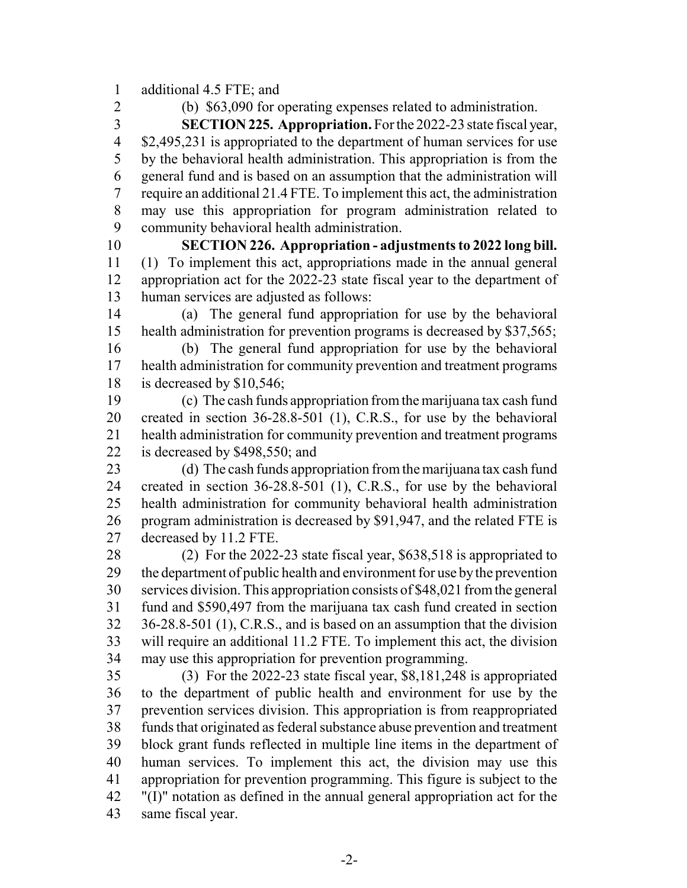additional 4.5 FTE; and

(b) \$63,090 for operating expenses related to administration.

 **SECTION 225. Appropriation.** For the 2022-23 state fiscal year, \$2,495,231 is appropriated to the department of human services for use by the behavioral health administration. This appropriation is from the general fund and is based on an assumption that the administration will require an additional 21.4 FTE. To implement this act, the administration may use this appropriation for program administration related to community behavioral health administration.

 **SECTION 226. Appropriation - adjustments to 2022 long bill.** (1) To implement this act, appropriations made in the annual general appropriation act for the 2022-23 state fiscal year to the department of human services are adjusted as follows:

 (a) The general fund appropriation for use by the behavioral health administration for prevention programs is decreased by \$37,565;

 (b) The general fund appropriation for use by the behavioral health administration for community prevention and treatment programs is decreased by \$10,546;

 (c) The cash funds appropriation from the marijuana tax cash fund created in section 36-28.8-501 (1), C.R.S., for use by the behavioral health administration for community prevention and treatment programs is decreased by \$498,550; and

 (d) The cash funds appropriation from the marijuana tax cash fund created in section 36-28.8-501 (1), C.R.S., for use by the behavioral health administration for community behavioral health administration program administration is decreased by \$91,947, and the related FTE is decreased by 11.2 FTE.

 (2) For the 2022-23 state fiscal year, \$638,518 is appropriated to the department of public health and environment for use by the prevention services division. This appropriation consists of \$48,021 from the general fund and \$590,497 from the marijuana tax cash fund created in section 36-28.8-501 (1), C.R.S., and is based on an assumption that the division will require an additional 11.2 FTE. To implement this act, the division may use this appropriation for prevention programming.

 (3) For the 2022-23 state fiscal year, \$8,181,248 is appropriated to the department of public health and environment for use by the prevention services division. This appropriation is from reappropriated funds that originated as federal substance abuse prevention and treatment block grant funds reflected in multiple line items in the department of human services. To implement this act, the division may use this appropriation for prevention programming. This figure is subject to the "(I)" notation as defined in the annual general appropriation act for the same fiscal year.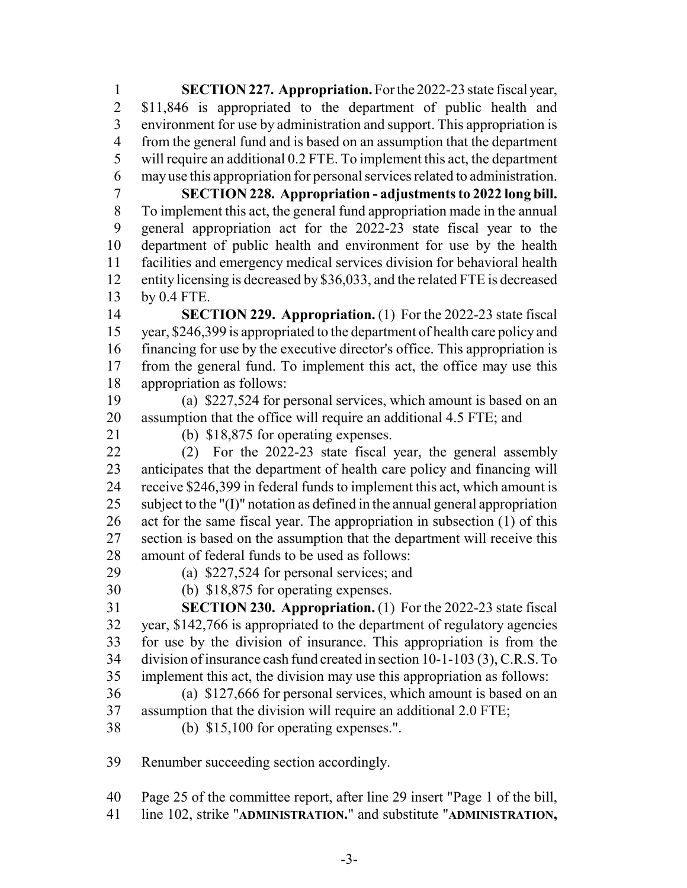**SECTION 227. Appropriation.** For the 2022-23 state fiscal year, \$11,846 is appropriated to the department of public health and environment for use by administration and support. This appropriation is from the general fund and is based on an assumption that the department will require an additional 0.2 FTE. To implement this act, the department may use this appropriation for personal services related to administration.

 **SECTION 228. Appropriation - adjustments to 2022 long bill.** To implement this act, the general fund appropriation made in the annual general appropriation act for the 2022-23 state fiscal year to the department of public health and environment for use by the health facilities and emergency medical services division for behavioral health entity licensing is decreased by \$36,033, and the related FTE is decreased by 0.4 FTE.

 **SECTION 229. Appropriation.** (1) For the 2022-23 state fiscal year, \$246,399 is appropriated to the department of health care policy and financing for use by the executive director's office. This appropriation is from the general fund. To implement this act, the office may use this appropriation as follows:

 (a) \$227,524 for personal services, which amount is based on an assumption that the office will require an additional 4.5 FTE; and

(b) \$18,875 for operating expenses.

 (2) For the 2022-23 state fiscal year, the general assembly anticipates that the department of health care policy and financing will receive \$246,399 in federal funds to implement this act, which amount is subject to the "(I)" notation as defined in the annual general appropriation act for the same fiscal year. The appropriation in subsection (1) of this section is based on the assumption that the department will receive this amount of federal funds to be used as follows:

(a) \$227,524 for personal services; and

(b) \$18,875 for operating expenses.

 **SECTION 230. Appropriation.** (1) For the 2022-23 state fiscal year, \$142,766 is appropriated to the department of regulatory agencies for use by the division of insurance. This appropriation is from the division of insurance cash fund created in section 10-1-103 (3), C.R.S. To implement this act, the division may use this appropriation as follows:

- (a) \$127,666 for personal services, which amount is based on an assumption that the division will require an additional 2.0 FTE;
- (b) \$15,100 for operating expenses.".

Renumber succeeding section accordingly.

Page 25 of the committee report, after line 29 insert "Page 1 of the bill,

line 102, strike "**ADMINISTRATION.**" and substitute "**ADMINISTRATION,**